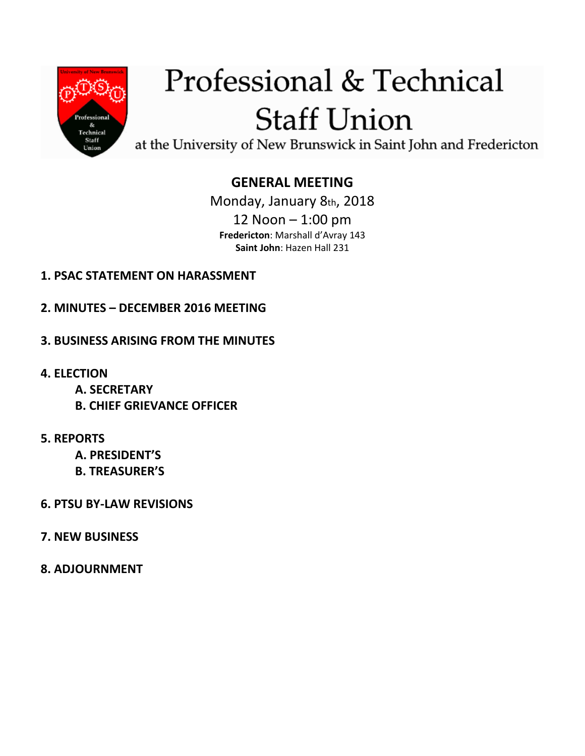

# Professional & Technical **Staff Union**

at the University of New Brunswick in Saint John and Fredericton

# **GENERAL MEETING**

Monday, January 8th, 2018 12 Noon – 1:00 pm **Fredericton**: Marshall d'Avray 143 **Saint John**: Hazen Hall 231

## **1. PSAC STATEMENT ON HARASSMENT**

- **2. MINUTES – DECEMBER 2016 MEETING**
- **3. BUSINESS ARISING FROM THE MINUTES**
- **4. ELECTION** 
	- **A. SECRETARY**
	- **B. CHIEF GRIEVANCE OFFICER**
- **5. REPORTS** 
	- **A. PRESIDENT'S**
	- **B. TREASURER'S**
- **6. PTSU BY-LAW REVISIONS**
- **7. NEW BUSINESS**
- **8. ADJOURNMENT**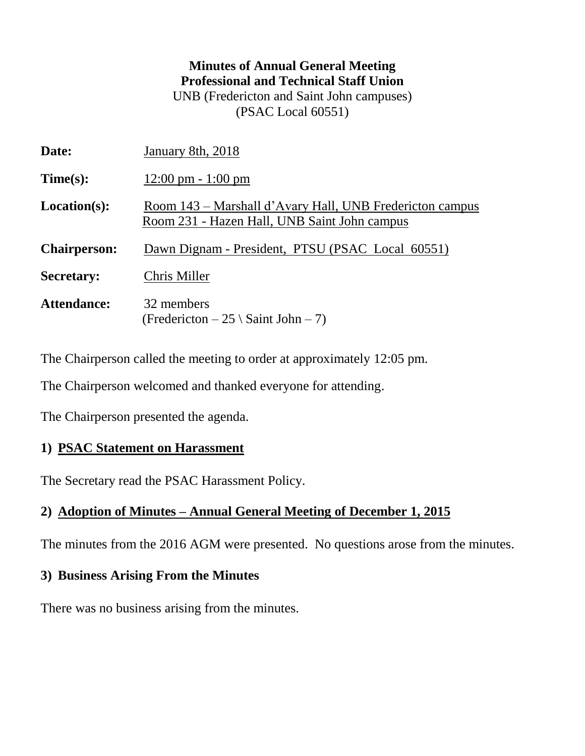## **Minutes of Annual General Meeting Professional and Technical Staff Union** UNB (Fredericton and Saint John campuses)

(PSAC Local 60551)

| January 8th, 2018                                                                                        |  |  |
|----------------------------------------------------------------------------------------------------------|--|--|
| $12:00 \text{ pm} - 1:00 \text{ pm}$                                                                     |  |  |
| Room 143 – Marshall d'Avary Hall, UNB Fredericton campus<br>Room 231 - Hazen Hall, UNB Saint John campus |  |  |
| Dawn Dignam - President, PTSU (PSAC Local 60551)                                                         |  |  |
| Chris Miller                                                                                             |  |  |
| 32 members<br>(Fredericton $-25 \setminus$ Saint John $-7$ )                                             |  |  |
|                                                                                                          |  |  |

The Chairperson called the meeting to order at approximately 12:05 pm.

The Chairperson welcomed and thanked everyone for attending.

The Chairperson presented the agenda.

#### **1) PSAC Statement on Harassment**

The Secretary read the PSAC Harassment Policy.

#### **2) Adoption of Minutes – Annual General Meeting of December 1, 2015**

The minutes from the 2016 AGM were presented. No questions arose from the minutes.

#### **3) Business Arising From the Minutes**

There was no business arising from the minutes.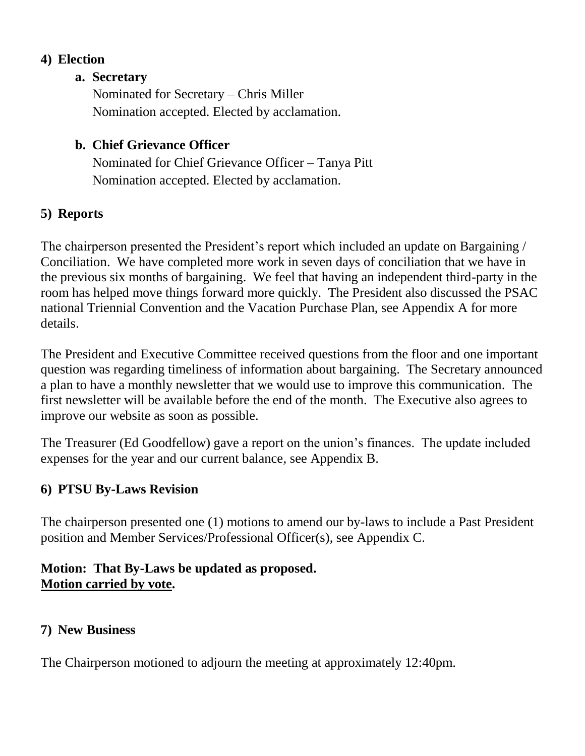## **4) Election**

#### **a. Secretary**

Nominated for Secretary – Chris Miller Nomination accepted. Elected by acclamation.

## **b. Chief Grievance Officer**

Nominated for Chief Grievance Officer – Tanya Pitt Nomination accepted. Elected by acclamation.

## **5) Reports**

The chairperson presented the President's report which included an update on Bargaining / Conciliation. We have completed more work in seven days of conciliation that we have in the previous six months of bargaining. We feel that having an independent third-party in the room has helped move things forward more quickly. The President also discussed the PSAC national Triennial Convention and the Vacation Purchase Plan, see Appendix A for more details.

The President and Executive Committee received questions from the floor and one important question was regarding timeliness of information about bargaining. The Secretary announced a plan to have a monthly newsletter that we would use to improve this communication. The first newsletter will be available before the end of the month. The Executive also agrees to improve our website as soon as possible.

The Treasurer (Ed Goodfellow) gave a report on the union's finances. The update included expenses for the year and our current balance, see Appendix B.

## **6) PTSU By-Laws Revision**

The chairperson presented one (1) motions to amend our by-laws to include a Past President position and Member Services/Professional Officer(s), see Appendix C.

## **Motion: That By-Laws be updated as proposed. Motion carried by vote.**

## **7) New Business**

The Chairperson motioned to adjourn the meeting at approximately 12:40pm.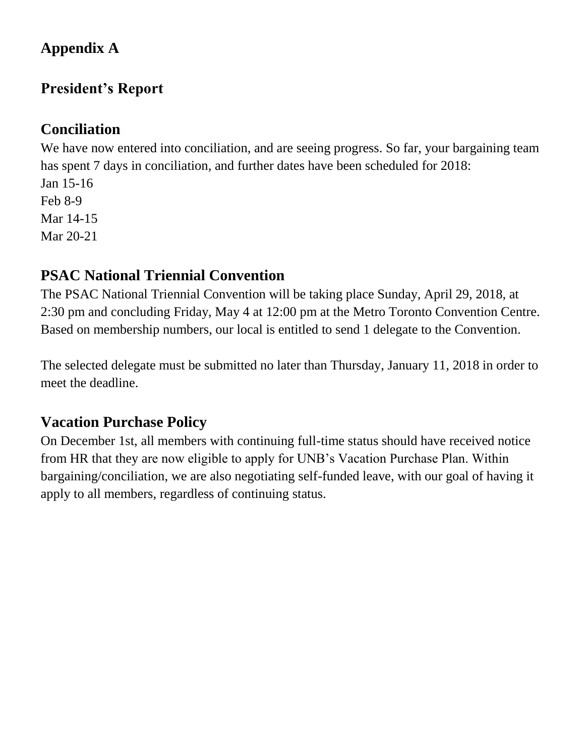# **Appendix A**

# **President's Report**

## **Conciliation**

We have now entered into conciliation, and are seeing progress. So far, your bargaining team has spent 7 days in conciliation, and further dates have been scheduled for 2018:

Jan 15-16 Feb 8-9 Mar 14-15 Mar 20-21

# **PSAC National Triennial Convention**

The PSAC National Triennial Convention will be taking place Sunday, April 29, 2018, at 2:30 pm and concluding Friday, May 4 at 12:00 pm at the Metro Toronto Convention Centre. Based on membership numbers, our local is entitled to send 1 delegate to the Convention.

The selected delegate must be submitted no later than Thursday, January 11, 2018 in order to meet the deadline.

# **Vacation Purchase Policy**

On December 1st, all members with continuing full-time status should have received notice from HR that they are now eligible to apply for UNB's Vacation Purchase Plan. Within bargaining/conciliation, we are also negotiating self-funded leave, with our goal of having it apply to all members, regardless of continuing status.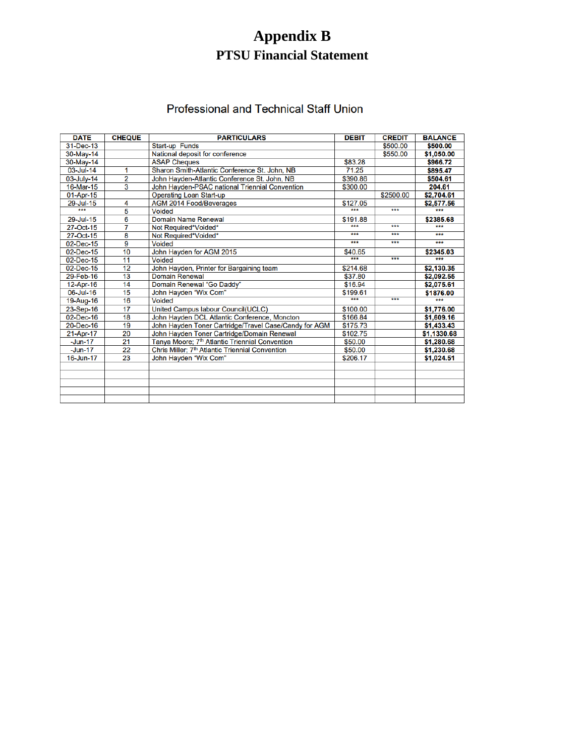# **Appendix B PTSU Financial Statement**

#### Professional and Technical Staff Union

| <b>DATE</b>   | <b>CHEQUE</b>  | <b>PARTICULARS</b>                                          | <b>DEBIT</b> | <b>CREDIT</b> | <b>BALANCE</b> |
|---------------|----------------|-------------------------------------------------------------|--------------|---------------|----------------|
| 31-Dec-13     |                | <b>Start-up Funds</b>                                       |              | \$500.00      | \$500.00       |
| 30-May-14     |                | National deposit for conference                             |              | \$550.00      | \$1,050.00     |
| 30-May-14     |                | <b>ASAP Cheques</b>                                         | \$83.28      |               | \$966.72       |
| 03-Jul-14     | 1              | Sharon Smith-Atlantic Conference St. John, NB               | 71.25        |               | \$895.47       |
| 03-July-14    | $\overline{2}$ | John Hayden-Atlantic Conference St. John, NB                | \$390.86     |               | \$504.61       |
| 16-Mar-15     | 3              | John Hayden-PSAC national Triennial Convention              | \$300.00     |               | 204.61         |
| 01-Apr-15     |                | <b>Operating Loan Start-up</b>                              |              | \$2500.00     | \$2,704.61     |
| 29-Jul-15     | 4              | <b>AGM 2014 Food/Beverages</b>                              | \$127.05     |               | \$2,577.56     |
| ***           | 5              | <b>Voided</b>                                               | ***          | ***           | ***            |
| 29-Jul-15     | $\overline{6}$ | <b>Domain Name Renewal</b>                                  | \$191.88     |               | \$2385.68      |
| 27-Oct-15     | 7              | Not Required*Voided*                                        | ***          | ***           | ***            |
| 27-Oct-15     | 8              | Not Required*Voided*                                        | ***          | ***           | ***            |
| 02-Dec-15     | 9              | <b>Voided</b>                                               | ***          | ***           | ***            |
| 02-Dec-15     | 10             | John Hayden for AGM 2015                                    | \$40.65      |               | \$2345.03      |
| 02-Dec-15     | 11             | <b>Voided</b>                                               | ***          | ***           | ***            |
| 02-Dec-15     | 12             | John Hayden, Printer for Bargaining team                    | \$214.68     |               | \$2,130.35     |
| 29-Feb-16     | 13             | <b>Domain Renewal</b>                                       | \$37.80      |               | \$2,092.55     |
| 12-Apr-16     | 14             | Domain Renewal "Go Daddy"                                   | \$16.94      |               | \$2,075.61     |
| 06-Jul-16     | 15             | John Hayden "Wix Com"                                       | \$199.61     |               | \$1876.00      |
| 19-Aug-16     | 16             | <b>Voided</b>                                               | $***$        | ***           | ***            |
| 23-Sep-16     | 17             | United Campus labour Council(UCLC)                          | \$100.00     |               | \$1,776.00     |
| 02-Dec-16     | 18             | John Hayden DCL Atlantic Conference, Moncton                | \$166.84     |               | \$1,609.16     |
| 20-Dec-16     | 19             | John Hayden Toner Cartridge/Travel Case/Candy for AGM       | \$175.73     |               | \$1,433.43     |
| 21-Apr-17     | 20             | John Hayden Toner Cartridge/Domain Renewal                  | \$102.75     |               | \$1,1330.68    |
| $-$ Jun $-17$ | 21             | Tanya Moore; 7 <sup>th</sup> Atlantic Triennial Convention  | \$50.00      |               | \$1,280.68     |
| $-Jun-17$     | 22             | Chris Miller; 7 <sup>th</sup> Atlantic Triennial Convention | \$50.00      |               | \$1,230.68     |
| 16-Jun-17     | 23             | John Hayden "Wix Com"                                       | \$206.17     |               | \$1,024.51     |
|               |                |                                                             |              |               |                |
|               |                |                                                             |              |               |                |
|               |                |                                                             |              |               |                |
|               |                |                                                             |              |               |                |
|               |                |                                                             |              |               |                |